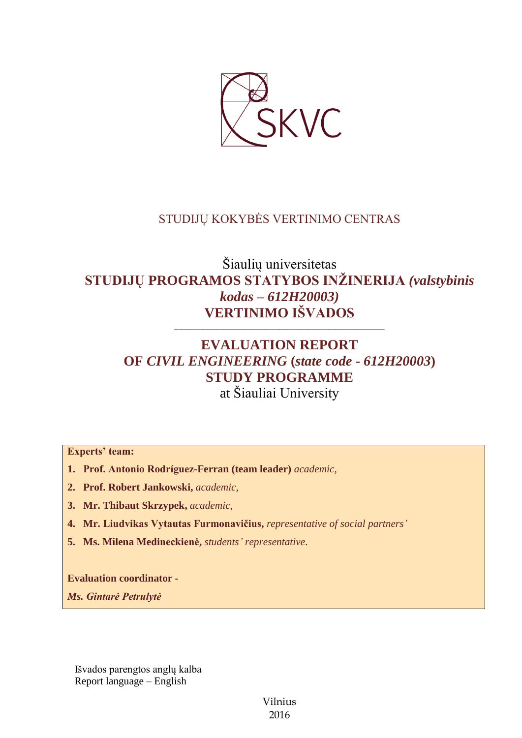

## STUDIJŲ KOKYBĖS VERTINIMO CENTRAS

# Šiaulių universitetas **STUDIJŲ PROGRAMOS STATYBOS INŽINERIJA** *(valstybinis kodas – 612H20003)* **VERTINIMO IŠVADOS**

––––––––––––––––––––––––––––––

# **EVALUATION REPORT OF** *CIVIL ENGINEERING* **(***state code - 612H20003***) STUDY PROGRAMME** at Šiauliai University

**Experts' team:** 

- **1. Prof. Antonio Rodríguez-Ferran (team leader)** *academic,*
- **2. Prof. Robert Jankowski,** *academic,*
- **3. Mr. Thibaut Skrzypek,** *academic,*
- **4. Mr. Liudvikas Vytautas Furmonavičius,** *representative of social partners'*
- **5. Ms. Milena Medineckienė,** *students' representative*.

**Evaluation coordinator -**

*Ms. Gintarė Petrulytė*

Išvados parengtos anglų kalba Report language – English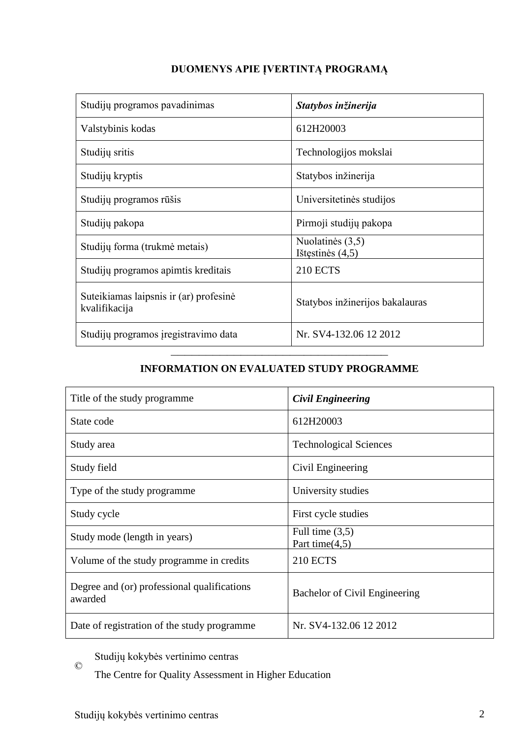## **DUOMENYS APIE ĮVERTINTĄ PROGRAMĄ**

| Studijų programos pavadinimas                           | Statybos inžinerija                      |
|---------------------------------------------------------|------------------------------------------|
| Valstybinis kodas                                       | 612H20003                                |
| Studijų sritis                                          | Technologijos mokslai                    |
| Studijų kryptis                                         | Statybos inžinerija                      |
| Studijų programos rūšis                                 | Universitetinės studijos                 |
| Studijų pakopa                                          | Pirmoji studijų pakopa                   |
| Studijų forma (trukmė metais)                           | Nuolatinės $(3,5)$<br>Ištęstinės $(4,5)$ |
| Studijų programos apimtis kreditais                     | <b>210 ECTS</b>                          |
| Suteikiamas laipsnis ir (ar) profesinė<br>kvalifikacija | Statybos inžinerijos bakalauras          |
| Studijų programos įregistravimo data                    | Nr. SV4-132.06 12 2012                   |

## ––––––––––––––––––––––––––––––– **INFORMATION ON EVALUATED STUDY PROGRAMME**

| Title of the study programme                           | <b>Civil Engineering</b>               |
|--------------------------------------------------------|----------------------------------------|
| State code                                             | 612H20003                              |
| Study area                                             | <b>Technological Sciences</b>          |
| Study field                                            | Civil Engineering                      |
| Type of the study programme                            | University studies                     |
| Study cycle                                            | First cycle studies                    |
| Study mode (length in years)                           | Full time $(3,5)$<br>Part time $(4,5)$ |
| Volume of the study programme in credits               | <b>210 ECTS</b>                        |
| Degree and (or) professional qualifications<br>awarded | Bachelor of Civil Engineering          |
| Date of registration of the study programme            | Nr. SV4-132.06 12 2012                 |

Studijų kokybės vertinimo centras

The Centre for Quality Assessment in Higher Education

 $\odot$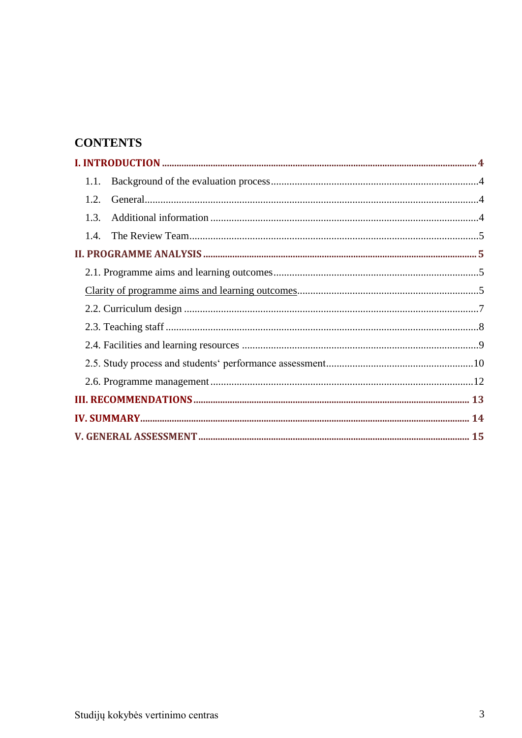# **CONTENTS**

| 1.1. |  |
|------|--|
| 1.2  |  |
| 1.3. |  |
| 1.4. |  |
|      |  |
|      |  |
|      |  |
|      |  |
|      |  |
|      |  |
|      |  |
|      |  |
|      |  |
|      |  |
|      |  |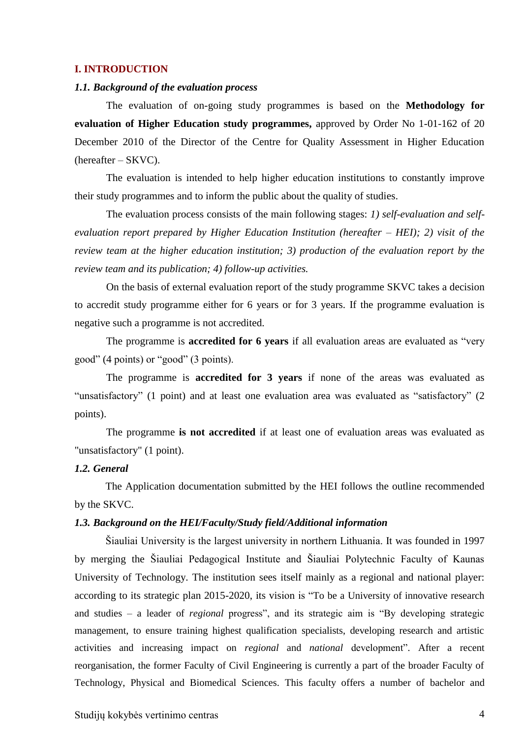#### **I. INTRODUCTION**

#### *1.1. Background of the evaluation process*

The evaluation of on-going study programmes is based on the **Methodology for evaluation of Higher Education study programmes,** approved by Order No 1-01-162 of 20 December 2010 of the Director of the Centre for Quality Assessment in Higher Education (hereafter – SKVC).

The evaluation is intended to help higher education institutions to constantly improve their study programmes and to inform the public about the quality of studies.

The evaluation process consists of the main following stages: *1) self-evaluation and selfevaluation report prepared by Higher Education Institution (hereafter – HEI); 2) visit of the review team at the higher education institution; 3) production of the evaluation report by the review team and its publication; 4) follow-up activities.* 

On the basis of external evaluation report of the study programme SKVC takes a decision to accredit study programme either for 6 years or for 3 years. If the programme evaluation is negative such a programme is not accredited.

The programme is **accredited for 6 years** if all evaluation areas are evaluated as "very good" (4 points) or "good" (3 points).

The programme is **accredited for 3 years** if none of the areas was evaluated as "unsatisfactory" (1 point) and at least one evaluation area was evaluated as "satisfactory" (2 points).

The programme **is not accredited** if at least one of evaluation areas was evaluated as "unsatisfactory" (1 point).

#### *1.2. General*

The Application documentation submitted by the HEI follows the outline recommended by the SKVC.

#### *1.3. Background on the HEI/Faculty/Study field/Additional information*

Šiauliai University is the largest university in northern Lithuania. It was founded in 1997 by merging the Šiauliai Pedagogical Institute and Šiauliai Polytechnic Faculty of Kaunas University of Technology. The institution sees itself mainly as a regional and national player: according to its strategic plan 2015-2020, its vision is "To be a University of innovative research and studies – a leader of *regional* progress", and its strategic aim is "By developing strategic management, to ensure training highest qualification specialists, developing research and artistic activities and increasing impact on *regional* and *national* development". After a recent reorganisation, the former Faculty of Civil Engineering is currently a part of the broader Faculty of Technology, Physical and Biomedical Sciences. This faculty offers a number of bachelor and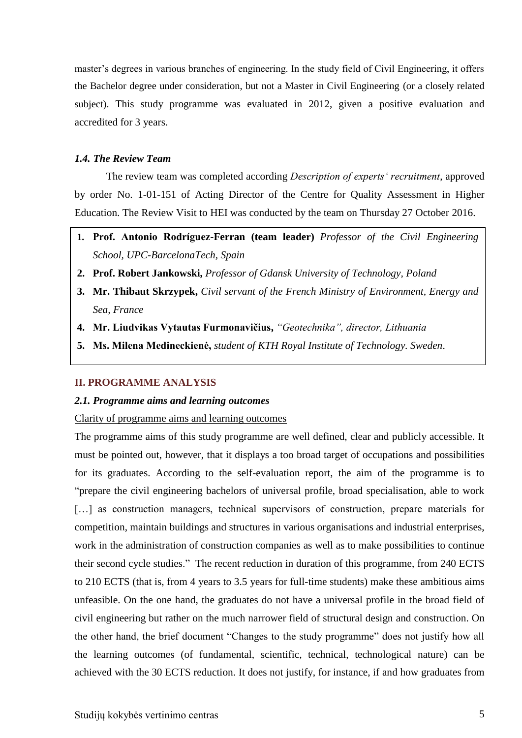master's degrees in various branches of engineering. In the study field of Civil Engineering, it offers the Bachelor degree under consideration, but not a Master in Civil Engineering (or a closely related subject). This study programme was evaluated in 2012, given a positive evaluation and accredited for 3 years.

#### *1.4. The Review Team*

The review team was completed according *Description of experts' recruitment*, approved by order No. 1-01-151 of Acting Director of the Centre for Quality Assessment in Higher Education. The Review Visit to HEI was conducted by the team on Thursday 27 October 2016.

- **1. Prof. Antonio Rodríguez-Ferran (team leader)** *Professor of the Civil Engineering School, UPC-BarcelonaTech, Spain*
- **2. Prof. Robert Jankowski,** *Professor of Gdansk University of Technology, Poland*
- **3. Mr. Thibaut Skrzypek,** *Civil servant of the French Ministry of Environment, Energy and Sea, France*
- **4. Mr. Liudvikas Vytautas Furmonavičius,** *"Geotechnika", director, Lithuania*
- **5. Ms. Milena Medineckienė,** *student of KTH Royal Institute of Technology. Sweden*.

#### **II. PROGRAMME ANALYSIS**

#### *2.1. Programme aims and learning outcomes*

Clarity of programme aims and learning outcomes

The programme aims of this study programme are well defined, clear and publicly accessible. It must be pointed out, however, that it displays a too broad target of occupations and possibilities for its graduates. According to the self-evaluation report, the aim of the programme is to "prepare the civil engineering bachelors of universal profile, broad specialisation, able to work [...] as construction managers, technical supervisors of construction, prepare materials for competition, maintain buildings and structures in various organisations and industrial enterprises, work in the administration of construction companies as well as to make possibilities to continue their second cycle studies." The recent reduction in duration of this programme, from 240 ECTS to 210 ECTS (that is, from 4 years to 3.5 years for full-time students) make these ambitious aims unfeasible. On the one hand, the graduates do not have a universal profile in the broad field of civil engineering but rather on the much narrower field of structural design and construction. On the other hand, the brief document "Changes to the study programme" does not justify how all the learning outcomes (of fundamental, scientific, technical, technological nature) can be achieved with the 30 ECTS reduction. It does not justify, for instance, if and how graduates from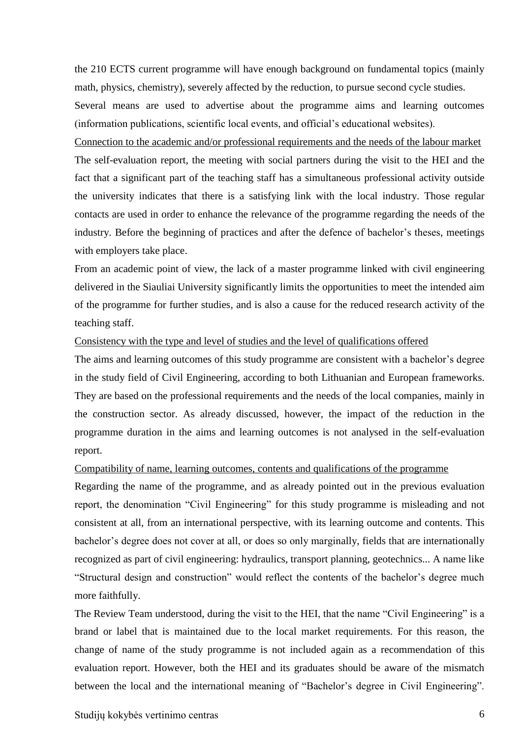the 210 ECTS current programme will have enough background on fundamental topics (mainly math, physics, chemistry), severely affected by the reduction, to pursue second cycle studies. Several means are used to advertise about the programme aims and learning outcomes (information publications, scientific local events, and official's educational websites).

Connection to the academic and/or professional requirements and the needs of the labour market The self-evaluation report, the meeting with social partners during the visit to the HEI and the fact that a significant part of the teaching staff has a simultaneous professional activity outside the university indicates that there is a satisfying link with the local industry. Those regular contacts are used in order to enhance the relevance of the programme regarding the needs of the industry. Before the beginning of practices and after the defence of bachelor's theses, meetings with employers take place.

From an academic point of view, the lack of a master programme linked with civil engineering delivered in the Siauliai University significantly limits the opportunities to meet the intended aim of the programme for further studies, and is also a cause for the reduced research activity of the teaching staff.

#### Consistency with the type and level of studies and the level of qualifications offered

The aims and learning outcomes of this study programme are consistent with a bachelor's degree in the study field of Civil Engineering, according to both Lithuanian and European frameworks. They are based on the professional requirements and the needs of the local companies, mainly in the construction sector. As already discussed, however, the impact of the reduction in the programme duration in the aims and learning outcomes is not analysed in the self-evaluation report.

#### Compatibility of name, learning outcomes, contents and qualifications of the programme

Regarding the name of the programme, and as already pointed out in the previous evaluation report, the denomination "Civil Engineering" for this study programme is misleading and not consistent at all, from an international perspective, with its learning outcome and contents. This bachelor's degree does not cover at all, or does so only marginally, fields that are internationally recognized as part of civil engineering: hydraulics, transport planning, geotechnics... A name like "Structural design and construction" would reflect the contents of the bachelor's degree much more faithfully.

The Review Team understood, during the visit to the HEI, that the name "Civil Engineering" is a brand or label that is maintained due to the local market requirements. For this reason, the change of name of the study programme is not included again as a recommendation of this evaluation report. However, both the HEI and its graduates should be aware of the mismatch between the local and the international meaning of "Bachelor's degree in Civil Engineering".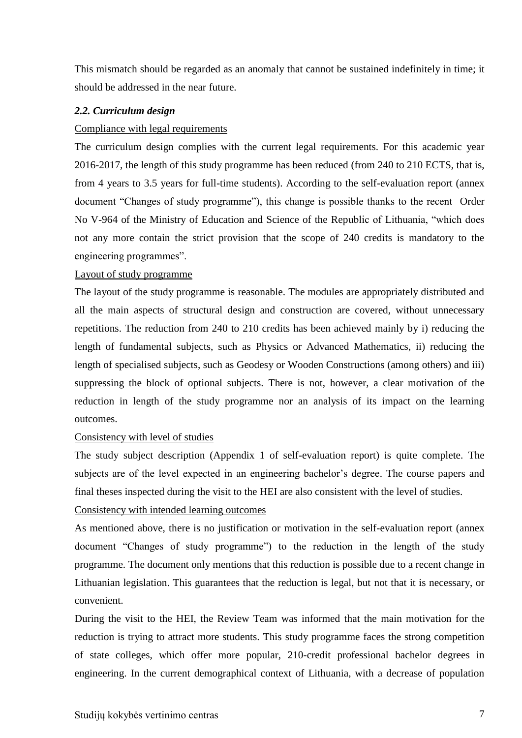This mismatch should be regarded as an anomaly that cannot be sustained indefinitely in time; it should be addressed in the near future.

## *2.2. Curriculum design*

#### Compliance with legal requirements

The curriculum design complies with the current legal requirements. For this academic year 2016-2017, the length of this study programme has been reduced (from 240 to 210 ECTS, that is, from 4 years to 3.5 years for full-time students). According to the self-evaluation report (annex document "Changes of study programme"), this change is possible thanks to the recent Order No V-964 of the Ministry of Education and Science of the Republic of Lithuania, "which does not any more contain the strict provision that the scope of 240 credits is mandatory to the engineering programmes".

#### Layout of study programme

The layout of the study programme is reasonable. The modules are appropriately distributed and all the main aspects of structural design and construction are covered, without unnecessary repetitions. The reduction from 240 to 210 credits has been achieved mainly by i) reducing the length of fundamental subjects, such as Physics or Advanced Mathematics, ii) reducing the length of specialised subjects, such as Geodesy or Wooden Constructions (among others) and iii) suppressing the block of optional subjects. There is not, however, a clear motivation of the reduction in length of the study programme nor an analysis of its impact on the learning outcomes.

#### Consistency with level of studies

The study subject description (Appendix 1 of self-evaluation report) is quite complete. The subjects are of the level expected in an engineering bachelor's degree. The course papers and final theses inspected during the visit to the HEI are also consistent with the level of studies.

## Consistency with intended learning outcomes

As mentioned above, there is no justification or motivation in the self-evaluation report (annex document "Changes of study programme") to the reduction in the length of the study programme. The document only mentions that this reduction is possible due to a recent change in Lithuanian legislation. This guarantees that the reduction is legal, but not that it is necessary, or convenient.

During the visit to the HEI, the Review Team was informed that the main motivation for the reduction is trying to attract more students. This study programme faces the strong competition of state colleges, which offer more popular, 210-credit professional bachelor degrees in engineering. In the current demographical context of Lithuania, with a decrease of population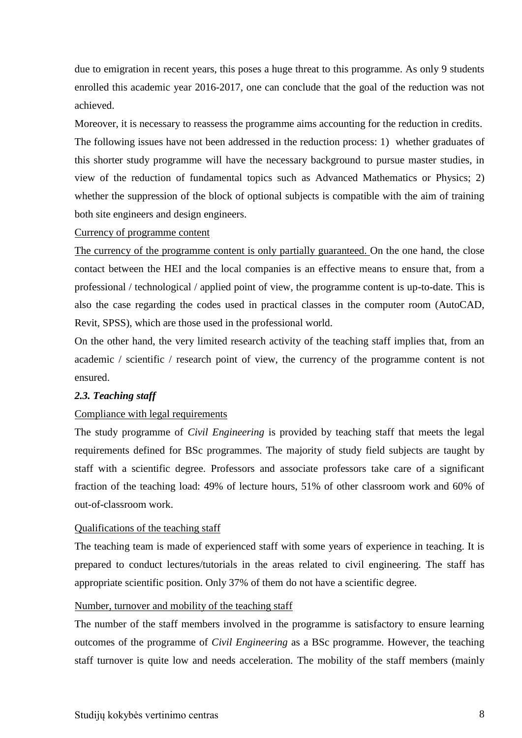due to emigration in recent years, this poses a huge threat to this programme. As only 9 students enrolled this academic year 2016-2017, one can conclude that the goal of the reduction was not achieved.

Moreover, it is necessary to reassess the programme aims accounting for the reduction in credits. The following issues have not been addressed in the reduction process: 1) whether graduates of this shorter study programme will have the necessary background to pursue master studies, in view of the reduction of fundamental topics such as Advanced Mathematics or Physics; 2) whether the suppression of the block of optional subjects is compatible with the aim of training both site engineers and design engineers.

#### Currency of programme content

The currency of the programme content is only partially guaranteed. On the one hand, the close contact between the HEI and the local companies is an effective means to ensure that, from a professional / technological / applied point of view, the programme content is up-to-date. This is also the case regarding the codes used in practical classes in the computer room (AutoCAD, Revit, SPSS), which are those used in the professional world.

On the other hand, the very limited research activity of the teaching staff implies that, from an academic / scientific / research point of view, the currency of the programme content is not ensured.

## *2.3. Teaching staff*

## Compliance with legal requirements

The study programme of *Civil Engineering* is provided by teaching staff that meets the legal requirements defined for BSc programmes. The majority of study field subjects are taught by staff with a scientific degree. Professors and associate professors take care of a significant fraction of the teaching load: 49% of lecture hours, 51% of other classroom work and 60% of out-of-classroom work.

## Qualifications of the teaching staff

The teaching team is made of experienced staff with some years of experience in teaching. It is prepared to conduct lectures/tutorials in the areas related to civil engineering. The staff has appropriate scientific position. Only 37% of them do not have a scientific degree.

## Number, turnover and mobility of the teaching staff

The number of the staff members involved in the programme is satisfactory to ensure learning outcomes of the programme of *Civil Engineering* as a BSc programme. However, the teaching staff turnover is quite low and needs acceleration*.* The mobility of the staff members (mainly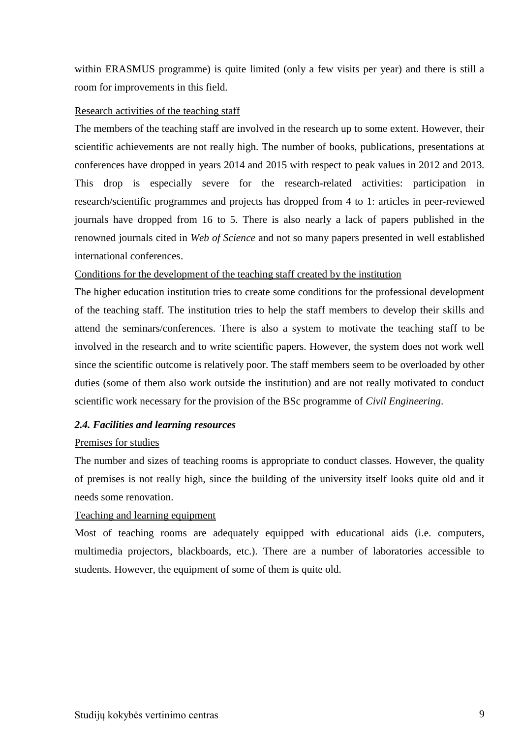within ERASMUS programme) is quite limited (only a few visits per year) and there is still a room for improvements in this field.

#### Research activities of the teaching staff

The members of the teaching staff are involved in the research up to some extent. However, their scientific achievements are not really high. The number of books, publications, presentations at conferences have dropped in years 2014 and 2015 with respect to peak values in 2012 and 2013. This drop is especially severe for the research-related activities: participation in research/scientific programmes and projects has dropped from 4 to 1: articles in peer-reviewed journals have dropped from 16 to 5. There is also nearly a lack of papers published in the renowned journals cited in *Web of Science* and not so many papers presented in well established international conferences.

## Conditions for the development of the teaching staff created by the institution

The higher education institution tries to create some conditions for the professional development of the teaching staff. The institution tries to help the staff members to develop their skills and attend the seminars/conferences. There is also a system to motivate the teaching staff to be involved in the research and to write scientific papers. However, the system does not work well since the scientific outcome is relatively poor. The staff members seem to be overloaded by other duties (some of them also work outside the institution) and are not really motivated to conduct scientific work necessary for the provision of the BSc programme of *Civil Engineering*.

## *2.4. Facilities and learning resources*

#### Premises for studies

The number and sizes of teaching rooms is appropriate to conduct classes. However, the quality of premises is not really high, since the building of the university itself looks quite old and it needs some renovation.

## Teaching and learning equipment

Most of teaching rooms are adequately equipped with educational aids (i.e. computers, multimedia projectors, blackboards, etc.). There are a number of laboratories accessible to students*.* However, the equipment of some of them is quite old.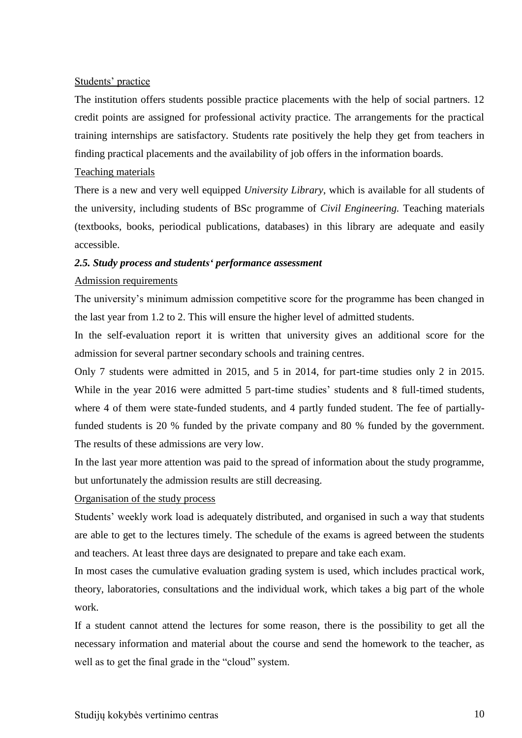#### Students' practice

The institution offers students possible practice placements with the help of social partners. 12 credit points are assigned for professional activity practice. The arrangements for the practical training internships are satisfactory. Students rate positively the help they get from teachers in finding practical placements and the availability of job offers in the information boards.

#### Teaching materials

There is a new and very well equipped *University Library*, which is available for all students of the university, including students of BSc programme of *Civil Engineering.* Teaching materials (textbooks, books, periodical publications, databases) in this library are adequate and easily accessible.

## *2.5. Study process and students' performance assessment*

#### Admission requirements

The university's minimum admission competitive score for the programme has been changed in the last year from 1.2 to 2. This will ensure the higher level of admitted students.

In the self-evaluation report it is written that university gives an additional score for the admission for several partner secondary schools and training centres.

Only 7 students were admitted in 2015, and 5 in 2014, for part-time studies only 2 in 2015. While in the year 2016 were admitted 5 part-time studies' students and 8 full-timed students, where 4 of them were state-funded students, and 4 partly funded student. The fee of partiallyfunded students is 20 % funded by the private company and 80 % funded by the government. The results of these admissions are very low.

In the last year more attention was paid to the spread of information about the study programme, but unfortunately the admission results are still decreasing.

## Organisation of the study process

Students' weekly work load is adequately distributed, and organised in such a way that students are able to get to the lectures timely. The schedule of the exams is agreed between the students and teachers. At least three days are designated to prepare and take each exam.

In most cases the cumulative evaluation grading system is used, which includes practical work, theory, laboratories, consultations and the individual work, which takes a big part of the whole work.

If a student cannot attend the lectures for some reason, there is the possibility to get all the necessary information and material about the course and send the homework to the teacher, as well as to get the final grade in the "cloud" system.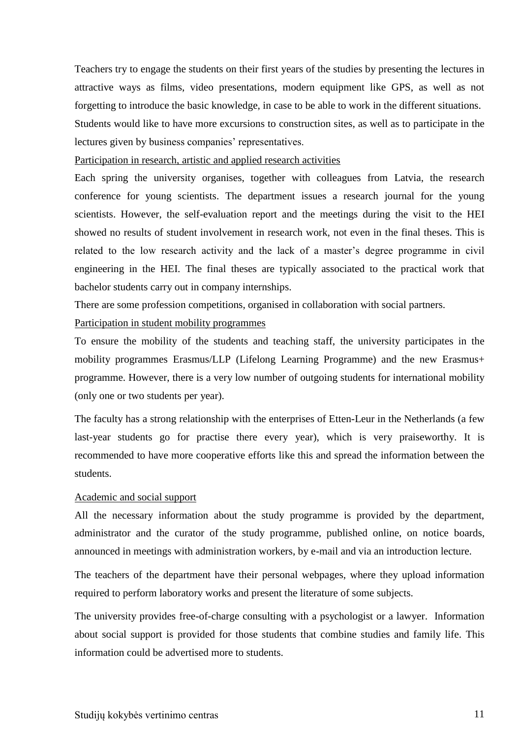Teachers try to engage the students on their first years of the studies by presenting the lectures in attractive ways as films, video presentations, modern equipment like GPS, as well as not forgetting to introduce the basic knowledge, in case to be able to work in the different situations. Students would like to have more excursions to construction sites, as well as to participate in the lectures given by business companies' representatives.

Participation in research, artistic and applied research activities

Each spring the university organises, together with colleagues from Latvia, the research conference for young scientists. The department issues a research journal for the young scientists. However, the self-evaluation report and the meetings during the visit to the HEI showed no results of student involvement in research work, not even in the final theses. This is related to the low research activity and the lack of a master's degree programme in civil engineering in the HEI. The final theses are typically associated to the practical work that bachelor students carry out in company internships.

There are some profession competitions, organised in collaboration with social partners.

#### Participation in student mobility programmes

To ensure the mobility of the students and teaching staff, the university participates in the mobility programmes Erasmus/LLP (Lifelong Learning Programme) and the new Erasmus+ programme. However, there is a very low number of outgoing students for international mobility (only one or two students per year).

The faculty has a strong relationship with the enterprises of Etten-Leur in the Netherlands (a few last-year students go for practise there every year), which is very praiseworthy. It is recommended to have more cooperative efforts like this and spread the information between the students.

## Academic and social support

All the necessary information about the study programme is provided by the department, administrator and the curator of the study programme, published online, on notice boards, announced in meetings with administration workers, by e-mail and via an introduction lecture.

The teachers of the department have their personal webpages, where they upload information required to perform laboratory works and present the literature of some subjects.

The university provides free-of-charge consulting with a psychologist or a lawyer. Information about social support is provided for those students that combine studies and family life. This information could be advertised more to students.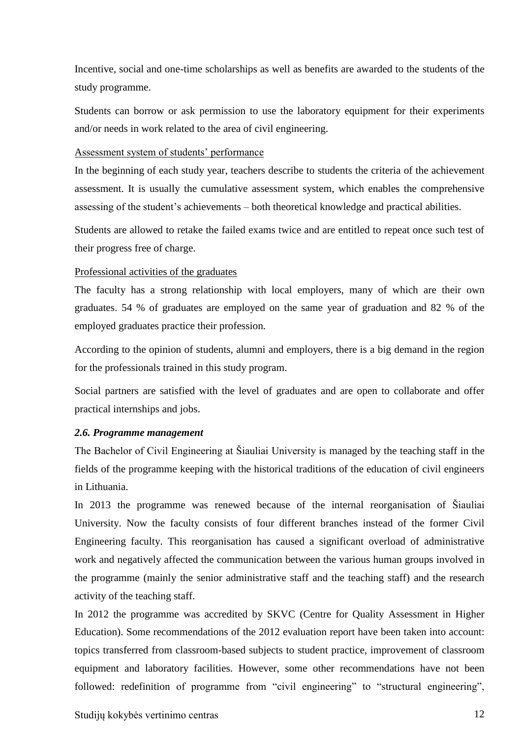Incentive, social and one-time scholarships as well as benefits are awarded to the students of the study programme.

Students can borrow or ask permission to use the laboratory equipment for their experiments and/or needs in work related to the area of civil engineering.

Assessment system of students' performance

In the beginning of each study year, teachers describe to students the criteria of the achievement assessment. It is usually the cumulative assessment system, which enables the comprehensive assessing of the student's achievements – both theoretical knowledge and practical abilities.

Students are allowed to retake the failed exams twice and are entitled to repeat once such test of their progress free of charge.

## Professional activities of the graduates

The faculty has a strong relationship with local employers, many of which are their own graduates. 54 % of graduates are employed on the same year of graduation and 82 % of the employed graduates practice their profession.

According to the opinion of students, alumni and employers, there is a big demand in the region for the professionals trained in this study program.

Social partners are satisfied with the level of graduates and are open to collaborate and offer practical internships and jobs.

## *2.6. Programme management*

The Bachelor of Civil Engineering at Šiauliai University is managed by the teaching staff in the fields of the programme keeping with the historical traditions of the education of civil engineers in Lithuania.

In 2013 the programme was renewed because of the internal reorganisation of Šiauliai University. Now the faculty consists of four different branches instead of the former Civil Engineering faculty. This reorganisation has caused a significant overload of administrative work and negatively affected the communication between the various human groups involved in the programme (mainly the senior administrative staff and the teaching staff) and the research activity of the teaching staff.

In 2012 the programme was accredited by SKVC (Centre for Quality Assessment in Higher Education). Some recommendations of the 2012 evaluation report have been taken into account: topics transferred from classroom-based subjects to student practice, improvement of classroom equipment and laboratory facilities. However, some other recommendations have not been followed: redefinition of programme from "civil engineering" to "structural engineering",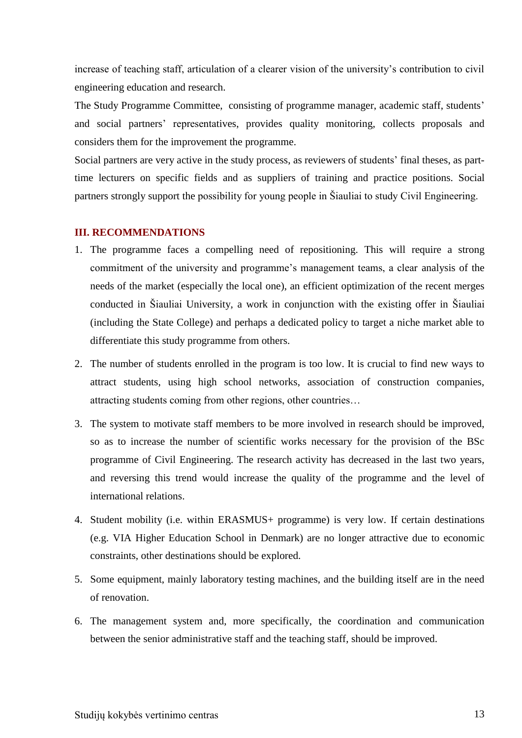increase of teaching staff, articulation of a clearer vision of the university's contribution to civil engineering education and research.

The Study Programme Committee, consisting of programme manager, academic staff, students' and social partners' representatives, provides quality monitoring, collects proposals and considers them for the improvement the programme.

Social partners are very active in the study process, as reviewers of students' final theses, as parttime lecturers on specific fields and as suppliers of training and practice positions. Social partners strongly support the possibility for young people in Šiauliai to study Civil Engineering.

#### **III. RECOMMENDATIONS**

- 1. The programme faces a compelling need of repositioning. This will require a strong commitment of the university and programme's management teams, a clear analysis of the needs of the market (especially the local one), an efficient optimization of the recent merges conducted in Šiauliai University, a work in conjunction with the existing offer in Šiauliai (including the State College) and perhaps a dedicated policy to target a niche market able to differentiate this study programme from others.
- 2. The number of students enrolled in the program is too low. It is crucial to find new ways to attract students, using high school networks, association of construction companies, attracting students coming from other regions, other countries…
- 3. The system to motivate staff members to be more involved in research should be improved, so as to increase the number of scientific works necessary for the provision of the BSc programme of Civil Engineering. The research activity has decreased in the last two years, and reversing this trend would increase the quality of the programme and the level of international relations.
- 4. Student mobility (i.e. within ERASMUS+ programme) is very low. If certain destinations (e.g. VIA Higher Education School in Denmark) are no longer attractive due to economic constraints, other destinations should be explored.
- 5. Some equipment, mainly laboratory testing machines, and the building itself are in the need of renovation.
- 6. The management system and, more specifically, the coordination and communication between the senior administrative staff and the teaching staff, should be improved.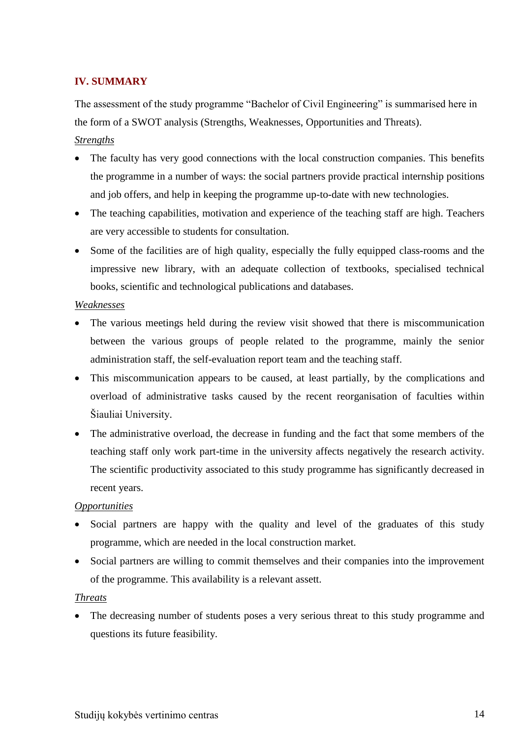## **IV. SUMMARY**

The assessment of the study programme "Bachelor of Civil Engineering" is summarised here in the form of a SWOT analysis (Strengths, Weaknesses, Opportunities and Threats).

## *Strengths*

- The faculty has very good connections with the local construction companies. This benefits the programme in a number of ways: the social partners provide practical internship positions and job offers, and help in keeping the programme up-to-date with new technologies.
- The teaching capabilities, motivation and experience of the teaching staff are high. Teachers are very accessible to students for consultation.
- Some of the facilities are of high quality, especially the fully equipped class-rooms and the impressive new library, with an adequate collection of textbooks, specialised technical books, scientific and technological publications and databases.

#### *Weaknesses*

- The various meetings held during the review visit showed that there is miscommunication between the various groups of people related to the programme, mainly the senior administration staff, the self-evaluation report team and the teaching staff.
- This miscommunication appears to be caused, at least partially, by the complications and overload of administrative tasks caused by the recent reorganisation of faculties within Šiauliai University.
- The administrative overload, the decrease in funding and the fact that some members of the teaching staff only work part-time in the university affects negatively the research activity. The scientific productivity associated to this study programme has significantly decreased in recent years.

#### *Opportunities*

- Social partners are happy with the quality and level of the graduates of this study programme, which are needed in the local construction market.
- Social partners are willing to commit themselves and their companies into the improvement of the programme. This availability is a relevant assett.

#### *Threats*

• The decreasing number of students poses a very serious threat to this study programme and questions its future feasibility.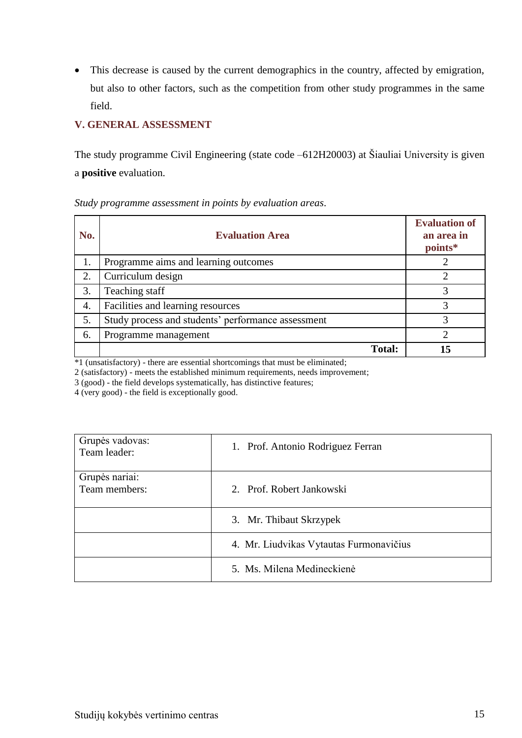This decrease is caused by the current demographics in the country, affected by emigration, but also to other factors, such as the competition from other study programmes in the same field.

## **V. GENERAL ASSESSMENT**

The study programme Civil Engineering (state code –612H20003) at Šiauliai University is given a **positive** evaluation.

| No. | <b>Evaluation Area</b>                             | <b>Evaluation of</b><br>an area in<br>points* |
|-----|----------------------------------------------------|-----------------------------------------------|
|     | Programme aims and learning outcomes               |                                               |
| 2.  | Curriculum design                                  | ∍                                             |
| 3.  | Teaching staff                                     |                                               |
| 4.  | Facilities and learning resources                  |                                               |
| 5.  | Study process and students' performance assessment |                                               |
| 6.  | Programme management                               | ∍                                             |
|     | <b>Total:</b>                                      | 15                                            |

## *Study programme assessment in points by evaluation areas*.

\*1 (unsatisfactory) - there are essential shortcomings that must be eliminated;

2 (satisfactory) - meets the established minimum requirements, needs improvement;

3 (good) - the field develops systematically, has distinctive features;

4 (very good) - the field is exceptionally good.

| Grupės vadovas:<br>Team leader: | 1. Prof. Antonio Rodriguez Ferran       |
|---------------------------------|-----------------------------------------|
| Grupės nariai:<br>Team members: | 2. Prof. Robert Jankowski               |
|                                 |                                         |
|                                 | 3. Mr. Thibaut Skrzypek                 |
|                                 | 4. Mr. Liudvikas Vytautas Furmonavičius |
|                                 | 5. Ms. Milena Medineckienė              |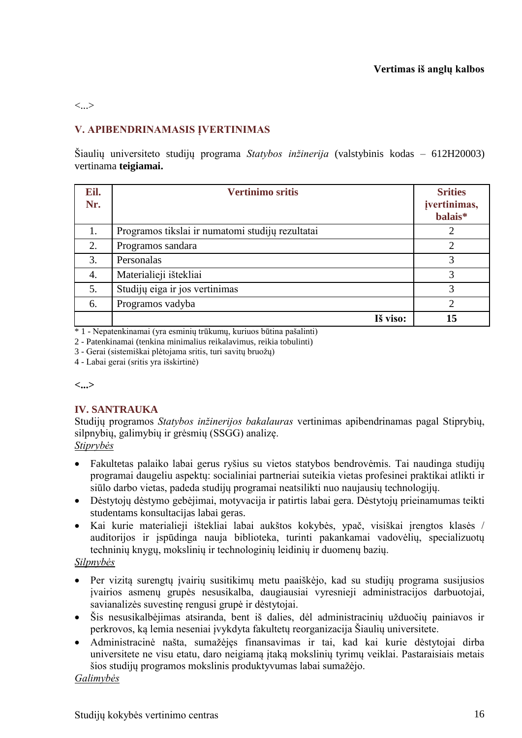#### <...>

## **V. APIBENDRINAMASIS ĮVERTINIMAS**

Šiaulių universiteto studijų programa *Statybos inžinerija* (valstybinis kodas – 612H20003) vertinama **teigiamai.**

| Eil.<br>Nr. | <b>Vertinimo sritis</b>                          | <b>Srities</b><br>įvertinimas,<br>balais* |
|-------------|--------------------------------------------------|-------------------------------------------|
| 1.          | Programos tikslai ir numatomi studijų rezultatai | 2                                         |
| 2.          | Programos sandara                                | $\overline{2}$                            |
| 3.          | Personalas                                       | 3                                         |
| 4.          | Materialieji ištekliai                           | 3                                         |
| 5.          | Studijų eiga ir jos vertinimas                   | 3                                         |
| 6.          | Programos vadyba                                 | $\mathcal{D}_{\mathcal{L}}$               |
|             | Iš viso:                                         | 15                                        |

\* 1 - Nepatenkinamai (yra esminių trūkumų, kuriuos būtina pašalinti)

2 - Patenkinamai (tenkina minimalius reikalavimus, reikia tobulinti)

3 - Gerai (sistemiškai plėtojama sritis, turi savitų bruožų)

4 - Labai gerai (sritis yra išskirtinė)

#### **<...>**

## **IV. SANTRAUKA**

Studijų programos *Statybos inžinerijos bakalauras* vertinimas apibendrinamas pagal Stiprybių, silpnybių, galimybių ir grėsmių (SSGG) analizę. *Stiprybės*

- Fakultetas palaiko labai gerus ryšius su vietos statybos bendrovėmis. Tai naudinga studijų programai daugeliu aspektų: socialiniai partneriai suteikia vietas profesinei praktikai atlikti ir siūlo darbo vietas, padeda studijų programai neatsilikti nuo naujausių technologijų.
- Dėstytojų dėstymo gebėjimai, motyvacija ir patirtis labai gera. Dėstytojų prieinamumas teikti studentams konsultacijas labai geras.
- Kai kurie materialieji ištekliai labai aukštos kokybės, ypač, visiškai įrengtos klasės / auditorijos ir įspūdinga nauja biblioteka, turinti pakankamai vadovėlių, specializuotų techninių knygų, mokslinių ir technologinių leidinių ir duomenų bazių.

## *Silpnybės*

- Per vizitą surengtų įvairių susitikimų metu paaiškėjo, kad su studijų programa susijusios įvairios asmenų grupės nesusikalba, daugiausiai vyresnieji administracijos darbuotojai, savianalizės suvestinę rengusi grupė ir dėstytojai.
- Šis nesusikalbėjimas atsiranda, bent iš dalies, dėl administracinių užduočių painiavos ir perkrovos, ką lemia neseniai įvykdyta fakultetų reorganizacija Šiaulių universitete.
- Administracinė našta, sumažėjęs finansavimas ir tai, kad kai kurie dėstytojai dirba universitete ne visu etatu, daro neigiamą įtaką mokslinių tyrimų veiklai. Pastaraisiais metais šios studijų programos mokslinis produktyvumas labai sumažėjo.

#### *Galimybės*